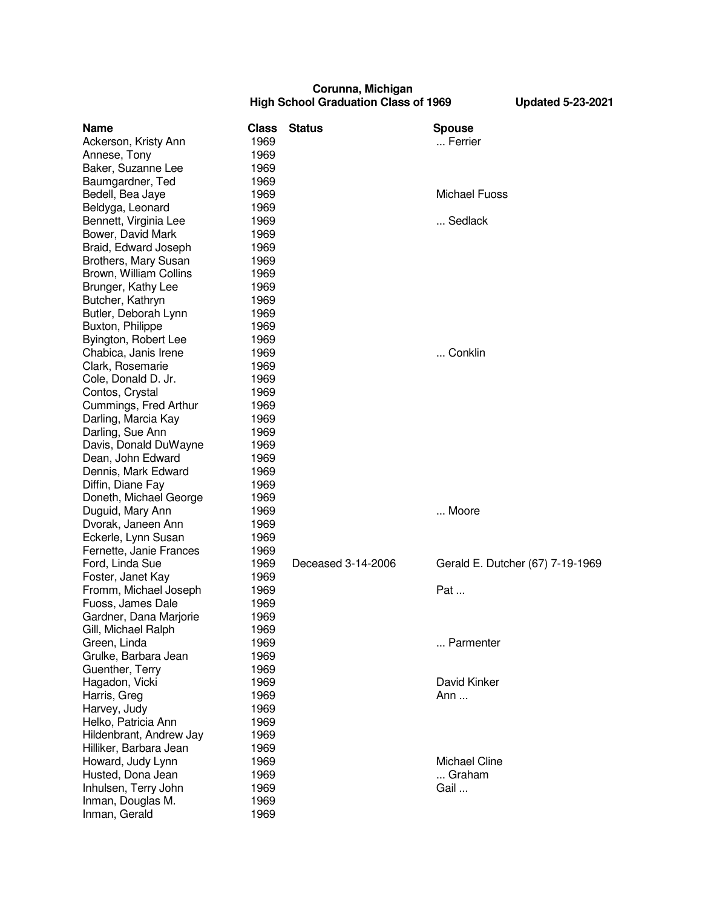## **Corunna, Michigan High School Graduation Class of 1969 Updated 5-23-2021**

| Name                    | <b>Class</b> | <b>Status</b>      | <b>Spouse</b>                    |
|-------------------------|--------------|--------------------|----------------------------------|
| Ackerson, Kristy Ann    | 1969         |                    | Ferrier                          |
| Annese, Tony            | 1969         |                    |                                  |
| Baker, Suzanne Lee      | 1969         |                    |                                  |
| Baumgardner, Ted        | 1969         |                    |                                  |
| Bedell, Bea Jaye        | 1969         |                    | <b>Michael Fuoss</b>             |
| Beldyga, Leonard        | 1969         |                    |                                  |
| Bennett, Virginia Lee   | 1969         |                    | Sedlack                          |
| Bower, David Mark       | 1969         |                    |                                  |
| Braid, Edward Joseph    | 1969         |                    |                                  |
| Brothers, Mary Susan    | 1969         |                    |                                  |
| Brown, William Collins  | 1969         |                    |                                  |
| Brunger, Kathy Lee      | 1969         |                    |                                  |
| Butcher, Kathryn        | 1969         |                    |                                  |
| Butler, Deborah Lynn    | 1969         |                    |                                  |
| Buxton, Philippe        | 1969         |                    |                                  |
| Byington, Robert Lee    | 1969         |                    |                                  |
| Chabica, Janis Irene    | 1969         |                    | Conklin                          |
| Clark, Rosemarie        | 1969         |                    |                                  |
| Cole, Donald D. Jr.     | 1969         |                    |                                  |
| Contos, Crystal         | 1969         |                    |                                  |
| Cummings, Fred Arthur   | 1969         |                    |                                  |
| Darling, Marcia Kay     | 1969         |                    |                                  |
| Darling, Sue Ann        | 1969         |                    |                                  |
| Davis, Donald DuWayne   | 1969         |                    |                                  |
| Dean, John Edward       | 1969         |                    |                                  |
| Dennis, Mark Edward     | 1969         |                    |                                  |
| Diffin, Diane Fay       | 1969         |                    |                                  |
| Doneth, Michael George  | 1969         |                    |                                  |
| Duguid, Mary Ann        | 1969         |                    | Moore                            |
| Dvorak, Janeen Ann      | 1969         |                    |                                  |
| Eckerle, Lynn Susan     | 1969         |                    |                                  |
| Fernette, Janie Frances | 1969         |                    |                                  |
| Ford, Linda Sue         | 1969         | Deceased 3-14-2006 | Gerald E. Dutcher (67) 7-19-1969 |
| Foster, Janet Kay       | 1969         |                    |                                  |
| Fromm, Michael Joseph   | 1969         |                    | Pat                              |
| Fuoss, James Dale       | 1969         |                    |                                  |
| Gardner, Dana Marjorie  | 1969         |                    |                                  |
| Gill, Michael Ralph     | 1969         |                    |                                  |
| Green, Linda            | 1969         |                    | Parmenter                        |
| Grulke, Barbara Jean    | 1969         |                    |                                  |
| Guenther, Terry         | 1969         |                    |                                  |
| Hagadon, Vicki          | 1969         |                    | David Kinker                     |
| Harris, Greg            | 1969         |                    | Ann                              |
| Harvey, Judy            | 1969         |                    |                                  |
| Helko, Patricia Ann     | 1969         |                    |                                  |
| Hildenbrant, Andrew Jay | 1969         |                    |                                  |
| Hilliker, Barbara Jean  | 1969         |                    |                                  |
| Howard, Judy Lynn       | 1969         |                    | <b>Michael Cline</b>             |
| Husted, Dona Jean       | 1969         |                    | Graham                           |
| Inhulsen, Terry John    | 1969         |                    | Gail                             |
| Inman, Douglas M.       | 1969         |                    |                                  |
| Inman, Gerald           | 1969         |                    |                                  |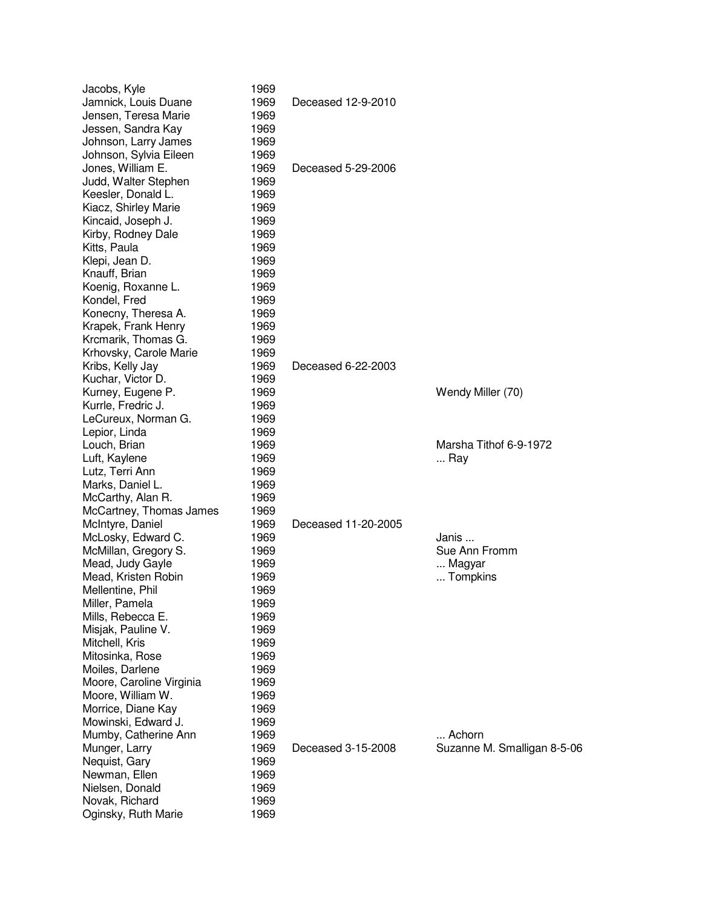| Jacobs, Kyle             | 1969 |                     |                             |
|--------------------------|------|---------------------|-----------------------------|
| Jamnick, Louis Duane     | 1969 | Deceased 12-9-2010  |                             |
| Jensen, Teresa Marie     | 1969 |                     |                             |
| Jessen, Sandra Kay       | 1969 |                     |                             |
| Johnson, Larry James     | 1969 |                     |                             |
| Johnson, Sylvia Eileen   | 1969 |                     |                             |
| Jones, William E.        | 1969 | Deceased 5-29-2006  |                             |
| Judd, Walter Stephen     | 1969 |                     |                             |
| Keesler, Donald L.       | 1969 |                     |                             |
| Kiacz, Shirley Marie     | 1969 |                     |                             |
| Kincaid, Joseph J.       | 1969 |                     |                             |
| Kirby, Rodney Dale       | 1969 |                     |                             |
| Kitts, Paula             | 1969 |                     |                             |
| Klepi, Jean D.           | 1969 |                     |                             |
| Knauff, Brian            | 1969 |                     |                             |
| Koenig, Roxanne L.       | 1969 |                     |                             |
| Kondel, Fred             | 1969 |                     |                             |
| Konecny, Theresa A.      | 1969 |                     |                             |
| Krapek, Frank Henry      | 1969 |                     |                             |
| Krcmarik, Thomas G.      | 1969 |                     |                             |
| Krhovsky, Carole Marie   | 1969 |                     |                             |
| Kribs, Kelly Jay         | 1969 | Deceased 6-22-2003  |                             |
| Kuchar, Victor D.        | 1969 |                     |                             |
| Kurney, Eugene P.        | 1969 |                     | Wendy Miller (70)           |
| Kurrle, Fredric J.       | 1969 |                     |                             |
| LeCureux, Norman G.      | 1969 |                     |                             |
| Lepior, Linda            | 1969 |                     |                             |
| Louch, Brian             | 1969 |                     | Marsha Tithof 6-9-1972      |
| Luft, Kaylene            | 1969 |                     | Ray                         |
| Lutz, Terri Ann          | 1969 |                     |                             |
| Marks, Daniel L.         | 1969 |                     |                             |
| McCarthy, Alan R.        | 1969 |                     |                             |
| McCartney, Thomas James  | 1969 |                     |                             |
| McIntyre, Daniel         | 1969 | Deceased 11-20-2005 |                             |
| McLosky, Edward C.       | 1969 |                     | Janis                       |
| McMillan, Gregory S.     | 1969 |                     | Sue Ann Fromm               |
| Mead, Judy Gayle         | 1969 |                     | Magyar                      |
| Mead, Kristen Robin      | 1969 |                     | Tompkins                    |
| Mellentine, Phil         | 1969 |                     |                             |
| Miller, Pamela           | 1969 |                     |                             |
| Mills, Rebecca E.        | 1969 |                     |                             |
| Misjak, Pauline V.       | 1969 |                     |                             |
| Mitchell, Kris           | 1969 |                     |                             |
| Mitosinka, Rose          | 1969 |                     |                             |
| Moiles, Darlene          | 1969 |                     |                             |
| Moore, Caroline Virginia | 1969 |                     |                             |
| Moore, William W.        | 1969 |                     |                             |
| Morrice, Diane Kay       | 1969 |                     |                             |
| Mowinski, Edward J.      | 1969 |                     |                             |
| Mumby, Catherine Ann     | 1969 |                     | Achorn                      |
| Munger, Larry            | 1969 | Deceased 3-15-2008  | Suzanne M. Smalligan 8-5-06 |
| Nequist, Gary            | 1969 |                     |                             |
| Newman, Ellen            | 1969 |                     |                             |
| Nielsen, Donald          | 1969 |                     |                             |
| Novak, Richard           | 1969 |                     |                             |
| Oginsky, Ruth Marie      | 1969 |                     |                             |
|                          |      |                     |                             |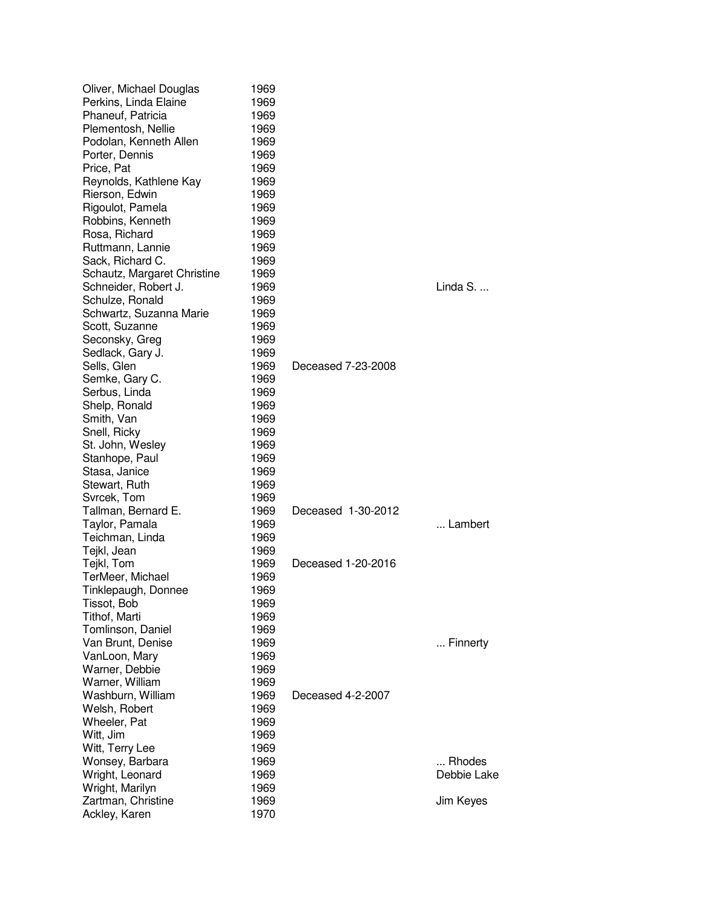| Oliver, Michael Douglas<br>Perkins, Linda Elaine<br>Phaneuf, Patricia<br>Plementosh, Nellie<br>Podolan, Kenneth Allen<br>Porter, Dennis<br>Price, Pat | 1969<br>1969<br>1969<br>1969<br>1969<br>1969<br>1969 |                    |             |
|-------------------------------------------------------------------------------------------------------------------------------------------------------|------------------------------------------------------|--------------------|-------------|
| Reynolds, Kathlene Kay                                                                                                                                | 1969                                                 |                    |             |
| Rierson, Edwin                                                                                                                                        | 1969                                                 |                    |             |
| Rigoulot, Pamela                                                                                                                                      | 1969                                                 |                    |             |
| Robbins, Kenneth                                                                                                                                      | 1969                                                 |                    |             |
| Rosa, Richard                                                                                                                                         | 1969                                                 |                    |             |
| Ruttmann, Lannie                                                                                                                                      | 1969                                                 |                    |             |
| Sack, Richard C.                                                                                                                                      | 1969                                                 |                    |             |
| Schautz, Margaret Christine                                                                                                                           | 1969                                                 |                    |             |
| Schneider, Robert J.                                                                                                                                  | 1969                                                 |                    | Linda S.    |
| Schulze, Ronald<br>Schwartz, Suzanna Marie                                                                                                            | 1969<br>1969                                         |                    |             |
| Scott, Suzanne                                                                                                                                        | 1969                                                 |                    |             |
| Seconsky, Greg                                                                                                                                        | 1969                                                 |                    |             |
| Sedlack, Gary J.                                                                                                                                      | 1969                                                 |                    |             |
| Sells, Glen                                                                                                                                           | 1969                                                 | Deceased 7-23-2008 |             |
| Semke, Gary C.                                                                                                                                        | 1969                                                 |                    |             |
| Serbus, Linda                                                                                                                                         | 1969                                                 |                    |             |
| Shelp, Ronald                                                                                                                                         | 1969                                                 |                    |             |
| Smith, Van                                                                                                                                            | 1969                                                 |                    |             |
| Snell, Ricky                                                                                                                                          | 1969                                                 |                    |             |
| St. John, Wesley                                                                                                                                      | 1969                                                 |                    |             |
| Stanhope, Paul                                                                                                                                        | 1969                                                 |                    |             |
| Stasa, Janice                                                                                                                                         | 1969                                                 |                    |             |
| Stewart, Ruth                                                                                                                                         | 1969                                                 |                    |             |
| Svrcek, Tom<br>Tallman, Bernard E.                                                                                                                    | 1969<br>1969                                         | Deceased 1-30-2012 |             |
| Taylor, Pamala                                                                                                                                        | 1969                                                 |                    | Lambert     |
| Teichman, Linda                                                                                                                                       | 1969                                                 |                    |             |
| Tejkl, Jean                                                                                                                                           | 1969                                                 |                    |             |
| Tejkl, Tom                                                                                                                                            | 1969                                                 | Deceased 1-20-2016 |             |
| TerMeer, Michael                                                                                                                                      | 1969                                                 |                    |             |
| Tinklepaugh, Donnee                                                                                                                                   | 1969                                                 |                    |             |
| Tissot, Bob                                                                                                                                           | 1969                                                 |                    |             |
| Tithof, Marti                                                                                                                                         | 1969                                                 |                    |             |
| Tomlinson, Daniel                                                                                                                                     | 1969                                                 |                    |             |
| Van Brunt, Denise                                                                                                                                     | 1969                                                 |                    | Finnerty    |
| VanLoon, Mary                                                                                                                                         | 1969                                                 |                    |             |
| Warner, Debbie<br>Warner, William                                                                                                                     | 1969<br>1969                                         |                    |             |
| Washburn, William                                                                                                                                     | 1969                                                 | Deceased 4-2-2007  |             |
| Welsh, Robert                                                                                                                                         | 1969                                                 |                    |             |
| Wheeler, Pat                                                                                                                                          | 1969                                                 |                    |             |
| Witt, Jim                                                                                                                                             | 1969                                                 |                    |             |
| Witt, Terry Lee                                                                                                                                       | 1969                                                 |                    |             |
| Wonsey, Barbara                                                                                                                                       | 1969                                                 |                    | Rhodes      |
| Wright, Leonard                                                                                                                                       | 1969                                                 |                    | Debbie Lake |
| Wright, Marilyn                                                                                                                                       | 1969                                                 |                    |             |
| Zartman, Christine                                                                                                                                    | 1969                                                 |                    | Jim Keyes   |
| Ackley, Karen                                                                                                                                         | 1970                                                 |                    |             |